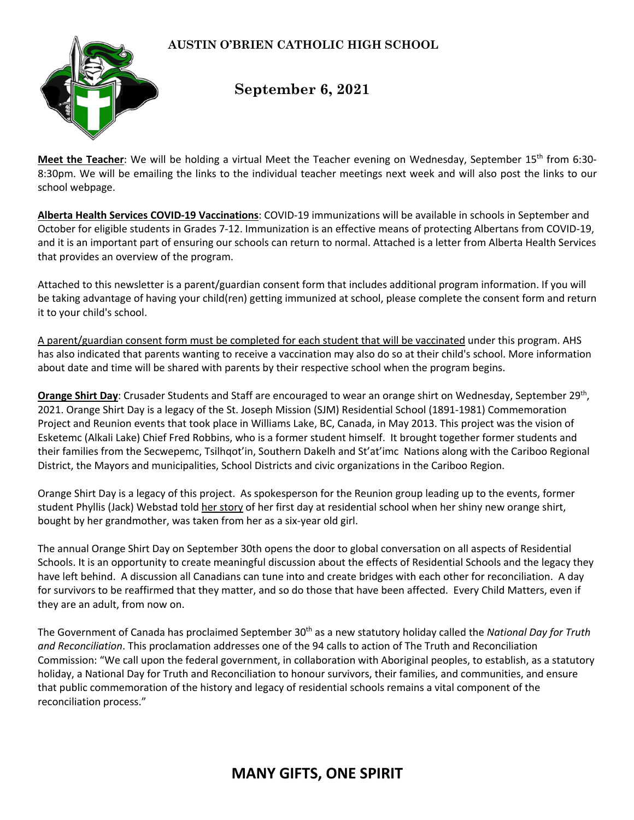## **AUSTIN O'BRIEN CATHOLIC HIGH SCHOOL**



## **September 6, 2021**

Meet the Teacher: We will be holding a virtual Meet the Teacher evening on Wednesday, September 15<sup>th</sup> from 6:30-8:30pm. We will be emailing the links to the individual teacher meetings next week and will also post the links to our school webpage.

**Alberta Health Services COVID-19 Vaccinations**: COVID-19 immunizations will be available in schools in September and October for eligible students in Grades 7-12. Immunization is an effective means of protecting Albertans from COVID-19, and it is an important part of ensuring our schools can return to normal. Attached is a letter from Alberta Health Services that provides an overview of the program.

Attached to this newsletter is a parent/guardian consent form that includes additional program information. If you will be taking advantage of having your child(ren) getting immunized at school, please complete the consent form and return it to your child's school.

A parent/guardian consent form must be completed for each student that will be vaccinated under this program. AHS has also indicated that parents wanting to receive a vaccination may also do so at their child's school. More information about date and time will be shared with parents by their respective school when the program begins.

**Orange Shirt Day**: Crusader Students and Staff are encouraged to wear an orange shirt on Wednesday, September 29th, 2021. Orange Shirt Day is a legacy of the St. Joseph Mission (SJM) Residential School (1891-1981) Commemoration Project and Reunion events that took place in Williams Lake, BC, Canada, in May 2013. This project was the vision of Esketemc (Alkali Lake) Chief Fred Robbins, who is a former student himself. It brought together former students and their families from the Secwepemc, Tsilhqot'in, Southern Dakelh and St'at'imc Nations along with the Cariboo Regional District, the Mayors and municipalities, School Districts and civic organizations in the Cariboo Region.

Orange Shirt Day is a legacy of this project. As spokesperson for the Reunion group leading up to the events, former student Phyllis (Jack) Webstad told her story of her first day at residential school when her shiny new orange shirt, bought by her grandmother, was taken from her as a six-year old girl.

The annual Orange Shirt Day on September 30th opens the door to global conversation on all aspects of Residential Schools. It is an opportunity to create meaningful discussion about the effects of Residential Schools and the legacy they have left behind. A discussion all Canadians can tune into and create bridges with each other for reconciliation. A day for survivors to be reaffirmed that they matter, and so do those that have been affected. Every Child Matters, even if they are an adult, from now on.

The Government of Canada has proclaimed September 30<sup>th</sup> as a new statutory holiday called the *National Day for Truth and Reconciliation*. This proclamation addresses one of the 94 calls to action of The Truth and Reconciliation Commission: "We call upon the federal government, in collaboration with Aboriginal peoples, to establish, as a statutory holiday, a National Day for Truth and Reconciliation to honour survivors, their families, and communities, and ensure that public commemoration of the history and legacy of residential schools remains a vital component of the reconciliation process."

## **MANY GIFTS, ONE SPIRIT**